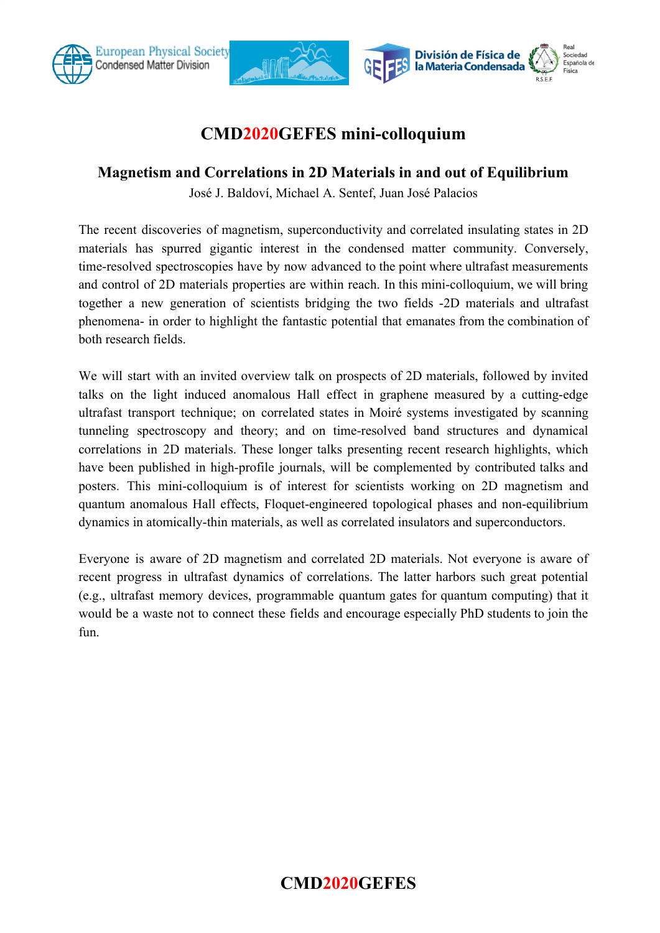

### **CMD2020GEFES mini-colloquium**

#### **Magnetism and Correlations in 2D Materials in and out of Equilibrium**

José J. Baldoví, Michael A. Sentef, Juan José Palacios

The recent discoveries of magnetism, superconductivity and correlated insulating states in 2D materials has spurred gigantic interest in the condensed matter community. Conversely, time-resolved spectroscopies have by now advanced to the point where ultrafast measurements and control of 2D materials properties are within reach. In this mini-colloquium, we will bring together a new generation of scientists bridging the two fields -2D materials and ultrafast phenomena- in order to highlight the fantastic potential that emanates from the combination of both research fields.

We will start with an invited overview talk on prospects of 2D materials, followed by invited talks on the light induced anomalous Hall effect in graphene measured by a cutting-edge ultrafast transport technique; on correlated states in Moiré systems investigated by scanning tunneling spectroscopy and theory; and on time-resolved band structures and dynamical correlations in 2D materials. These longer talks presenting recent research highlights, which have been published in high-profile journals, will be complemented by contributed talks and posters. This mini-colloquium is of interest for scientists working on 2D magnetism and quantum anomalous Hall effects, Floquet-engineered topological phases and non-equilibrium dynamics in atomically-thin materials, as well as correlated insulators and superconductors.

Everyone is aware of 2D magnetism and correlated 2D materials. Not everyone is aware of recent progress in ultrafast dynamics of correlations. The latter harbors such great potential (e.g., ultrafast memory devices, programmable quantum gates for quantum computing) that it would be a waste not to connect these fields and encourage especially PhD students to join the fun.

# **CMD2020GEFES**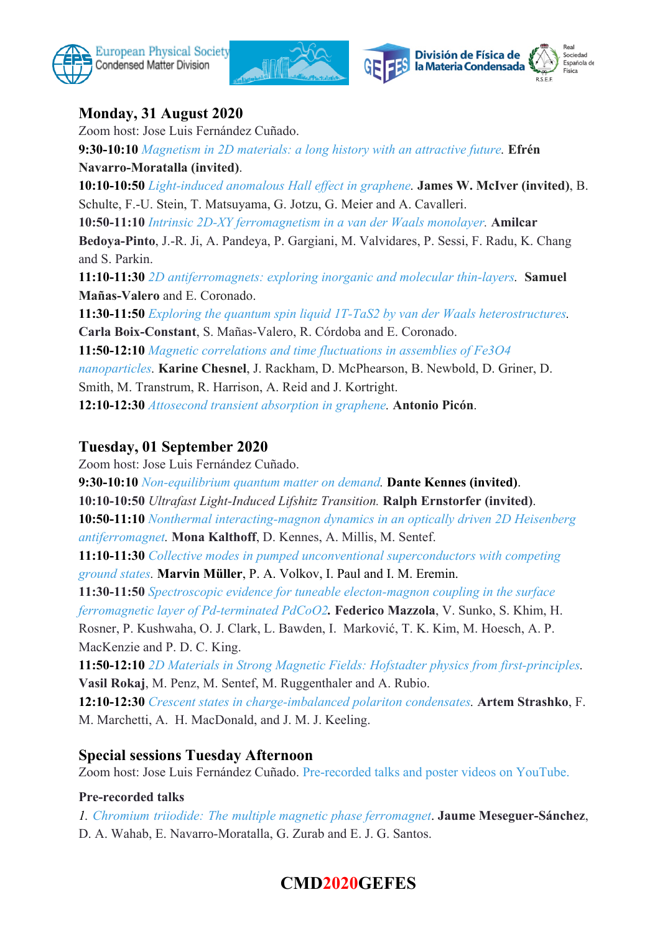



### **Monday, 31 August 2020**

Zoom host: Jose Luis Fernández Cuñado.

**9:30-10:10** *[Magnetism in 2D materials: a long history with an attractive future.](https://eventos.uam.es/_files/_event/_28512/papers/48453/CMD2020GEFES_ENM.pdf)* **Efrén Navarro-Moratalla (invited)**.

**10:10-10:50** *[Light-induced anomalous Hall effect in graphene](https://eventos.uam.es/_files/_event/_28512/papers/46563/McIver_abstract_CMD2020GEFES.docx).* **James W. McIver (invited)**, B. Schulte, F.-U. Stein, T. Matsuyama, G. Jotzu, G. Meier and A. Cavalleri.

**10:50-11:10** *[Intrinsic 2D-XY ferromagnetism in a van der Waals monolayer.](https://eventos.uam.es/_files/_event/_28512/papers/48328/Bedoya_Pinto_Intrinsic_2DXY_ferromagnetism_in_a_van_der_Waals_monolayer_Abstract_GEFES_2020_1.pdf)* **Amilcar**

**Bedoya-Pinto**, J.-R. Ji, A. Pandeya, P. Gargiani, M. Valvidares, P. Sessi, F. Radu, K. Chang and S. Parkin.

**11:10-11:30** *[2D antiferromagnets: exploring inorganic and molecular thin-layers.](https://eventos.uam.es/_files/_event/_28512/papers/48397/Manas_Valero_CMD2020GEFES.docx)* **Samuel Mañas-Valero** and E. Coronado.

**11:30-11:50** *[Exploring the quantum spin liquid 1T-TaS2 by van der Waals heterostructures.](https://eventos.uam.es/_files/_event/_28512/papers/48427/Abstract_Carla_Boix_Constant_CMD2020_1.pdf)* **Carla Boix-Constant**, S. Mañas-Valero, R. Córdoba and E. Coronado.

**11:50-12:10** *[Magnetic correlations and time fluctuations in assemblies of Fe3O4](https://eventos.uam.es/_files/_event/_28512/papers/49294/CMD2020GEFES_Chesnel.pdf)*

*[nanoparticles](https://eventos.uam.es/_files/_event/_28512/papers/49294/CMD2020GEFES_Chesnel.pdf).* **Karine Chesnel**, J. Rackham, D. McPhearson, B. Newbold, D. Griner, D.

Smith, M. Transtrum, R. Harrison, A. Reid and J. Kortright.

**12:10-12:30** *[Attosecond transient absorption in graphene.](https://eventos.uam.es/_files/_event/_28512/papers/46593/CMD2020GEFES.docx)* **Antonio Picón**.

#### **Tuesday, 01 September 2020**

Zoom host: Jose Luis Fernández Cuñado.

**9:30-10:10** *[Non-equilibrium quantum matter on demand.](https://eventos.uam.es/_files/_event/_28512/papers/48516/template_CMD2020GEFES_Dante_Kennes.pdf)* **Dante Kennes (invited)**.

**10:10-10:50** *Ultrafast Light-Induced Lifshitz Transition.* **Ralph Ernstorfer (invited)**.

**10:50-11:10** *[Nonthermal interacting-magnon dynamics in an optically driven 2D Heisenberg](https://eventos.uam.es/_files/_event/_28512/papers/48418/CMD2020GEFES_Kalthoff.pdf) [antiferromagnet](https://eventos.uam.es/_files/_event/_28512/papers/48418/CMD2020GEFES_Kalthoff.pdf).* **Mona Kalthoff**, D. Kennes, A. Millis, M. Sentef.

**11:10-11:30** *[Collective modes in pumped unconventional superconductors with competing](https://eventos.uam.es/_files/_event/_28512/papers/49052/v49056/template_CMD2020GEFES_5.docx) [ground states](https://eventos.uam.es/_files/_event/_28512/papers/49052/v49056/template_CMD2020GEFES_5.docx).* **Marvin Müller**, P. A. Volkov, I. Paul and I. M. Eremin.

**11:30-11:50** *[Spectroscopic evidence for tuneable electon-magnon coupling in the surface](https://eventos.uam.es/_files/_event/_28512/papers/48846/fm.docx) [ferromagnetic layer of Pd-terminated PdCoO2](https://eventos.uam.es/_files/_event/_28512/papers/48846/fm.docx).* **Federico Mazzola**, V. Sunko, S. Khim, H.

Rosner, P. Kushwaha, O. J. Clark, L. Bawden, I. Marković, T. K. Kim, M. Hoesch, A. P. MacKenzie and P. D. C. King.

**11:50-12:10** *[2D Materials in Strong Magnetic Fields: Hofstadter physics from first-principles.](https://eventos.uam.es/_files/_event/_28512/papers/49341/Abstract_CMD2020_V.Rokaj_1.pdf)* **Vasil Rokaj**, M. Penz, M. Sentef, M. Ruggenthaler and A. Rubio.

**12:10-12:30** *[Crescent states in charge-imbalanced polariton condensates](https://eventos.uam.es/_files/_event/_28512/papers/48729/Strashko_CMD2020GEFES.docx).* **Artem Strashko**, F. M. Marchetti, A. H. MacDonald, and J. M. J. Keeling.

### **Special sessions Tuesday Afternoon**

Zoom host: Jose Luis Fernández Cuñado. [Pre-recorded talks and poster videos on YouTube.](https://www.youtube.com/playlist?list=PLWIVj90xdDE9NzGxEqqTTYVaq4Z_nwxAL)

#### **Pre-recorded talks**

*1. Chromium triiodide: The multiple magnetic phase [ferromagnet](https://eventos.uam.es/_files/_event/_28512/papers/49379/template_CMD2020GEFES_jaume.docx)*. **Jaume Meseguer-Sánchez**,

D. A. Wahab, E. Navarro-Moratalla, G. Zurab and E. J. G. Santos.

# **CMD2020GEFES**